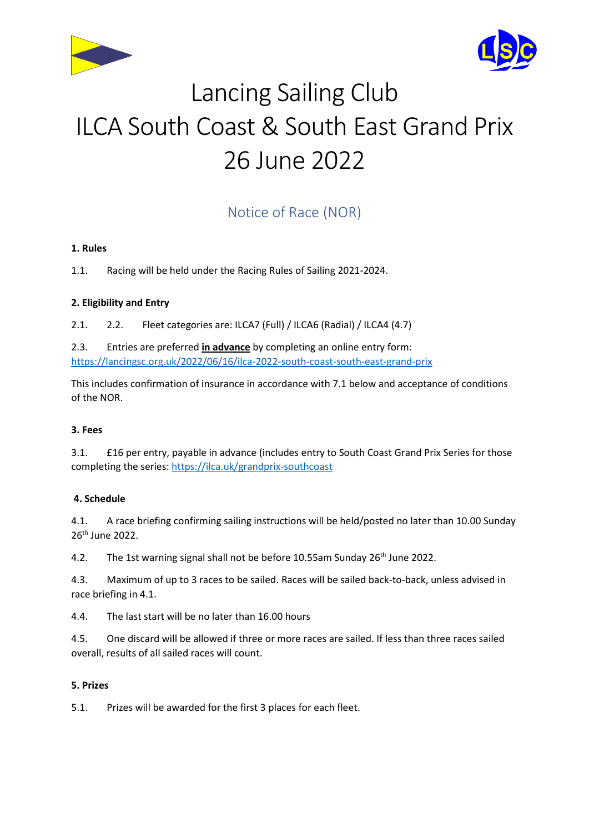



# Lancing Sailing Club ILCA South Coast & South East Grand Prix 26 June 2022

# Notice of Race (NOR)

## **1. Rules**

1.1. Racing will be held under the Racing Rules of Sailing 2021-2024.

## **2. Eligibility and Entry**

2.1. 2.2. Fleet categories are: ILCA7 (Full) / ILCA6 (Radial) / ILCA4 (4.7)

2.3. Entries are preferred **in advance** by completing an online entry form: <https://lancingsc.org.uk/2022/06/16/ilca-2022-south-coast-south-east-grand-prix>

This includes confirmation of insurance in accordance with 7.1 below and acceptance of conditions of the NOR.

#### **3. Fees**

3.1. £16 per entry, payable in advance (includes entry to South Coast Grand Prix Series for those completing the series: <https://ilca.uk/grandprix-southcoast>

#### **4. Schedule**

4.1. A race briefing confirming sailing instructions will be held/posted no later than 10.00 Sunday 26th June 2022.

4.2. The 1st warning signal shall not be before 10.55am Sunday 26<sup>th</sup> June 2022.

4.3. Maximum of up to 3 races to be sailed. Races will be sailed back-to-back, unless advised in race briefing in 4.1.

4.4. The last start will be no later than 16.00 hours

4.5. One discard will be allowed if three or more races are sailed. If less than three races sailed overall, results of all sailed races will count.

#### **5. Prizes**

5.1. Prizes will be awarded for the first 3 places for each fleet.